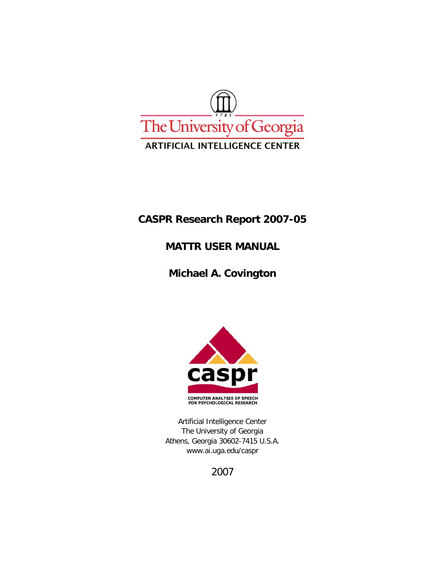

# **CASPR Research Report 2007-05**

# **MATTR USER MANUAL**

# **Michael A. Covington**



Artificial Intelligence Center The University of Georgia Athens, Georgia 30602-7415 U.S.A. www.ai.uga.edu/caspr

2007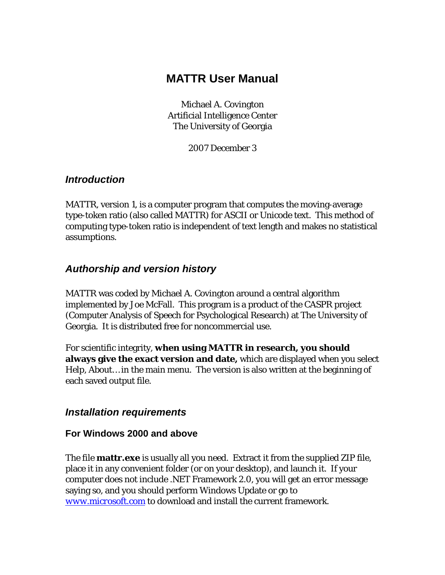# **MATTR User Manual**

Michael A. Covington Artificial Intelligence Center The University of Georgia

2007 December 3

#### *Introduction*

MATTR, version 1, is a computer program that computes the moving-average type-token ratio (also called MATTR) for ASCII or Unicode text. This method of computing type-token ratio is independent of text length and makes no statistical assumptions.

## *Authorship and version history*

MATTR was coded by Michael A. Covington around a central algorithm implemented by Joe McFall. This program is a product of the CASPR project (Computer Analysis of Speech for Psychological Research) at The University of Georgia. It is distributed free for noncommercial use.

For scientific integrity, **when using MATTR in research, you should always give the exact version and date,** which are displayed when you select *Help, About…* in the main menu. The version is also written at the beginning of each saved output file.

#### *Installation requirements*

#### **For Windows 2000 and above**

The file **mattr.exe** is usually all you need. Extract it from the supplied ZIP file, place it in any convenient folder (or on your desktop), and launch it. If your computer does not include .NET Framework 2.0, you will get an error message saying so, and you should perform Windows Update or go to *www.microsoft.com* to download and install the current framework.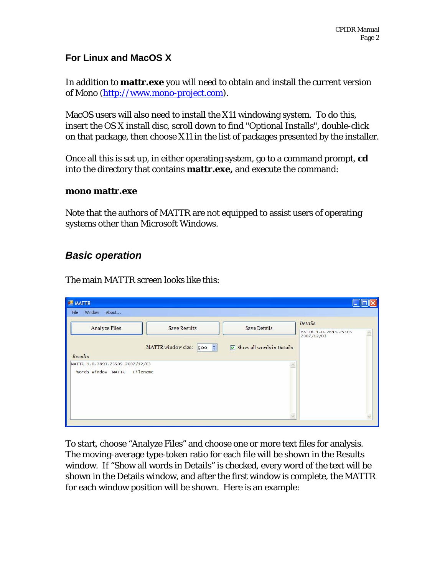#### **For Linux and MacOS X**

In addition to **mattr.exe** you will need to obtain and install the current version of Mono (http://www.mono-project.com).

MacOS users will also need to install the X11 windowing system. To do this, insert the OS X install disc, scroll down to find "Optional Installs", double-click on that package, then choose X11 in the list of packages presented by the installer.

Once all this is set up, in either operating system, go to a command prompt, **cd** into the directory that contains **mattr.exe,** and execute the command:

#### **mono mattr.exe**

Note that the authors of MATTR are not equipped to assist users of operating systems other than Microsoft Windows.

### *Basic operation*

The main MATTR screen looks like this:

| <b>ME MATTR</b>                                                |                               |                                           |                                               |
|----------------------------------------------------------------|-------------------------------|-------------------------------------------|-----------------------------------------------|
| About<br>Window<br>File                                        |                               |                                           |                                               |
| Analyze Files                                                  | <b>Save Results</b>           | <b>Save Details</b>                       | Details<br>MATTR 1.0.2893.25505<br>2007/12/03 |
| Results                                                        | MATTR window size: $500 \div$ | $\triangledown$ Show all words in Details |                                               |
| MATTR 1.0.2893.25505 2007/12/03<br>Words Window MATTR Filename |                               |                                           |                                               |
|                                                                |                               |                                           |                                               |

To start, choose "Analyze Files" and choose one or more text files for analysis. The moving-average type-token ratio for each file will be shown in the Results window. If "Show all words in Details" is checked, every word of the text will be shown in the Details window, and after the first window is complete, the MATTR for each window position will be shown. Here is an example: